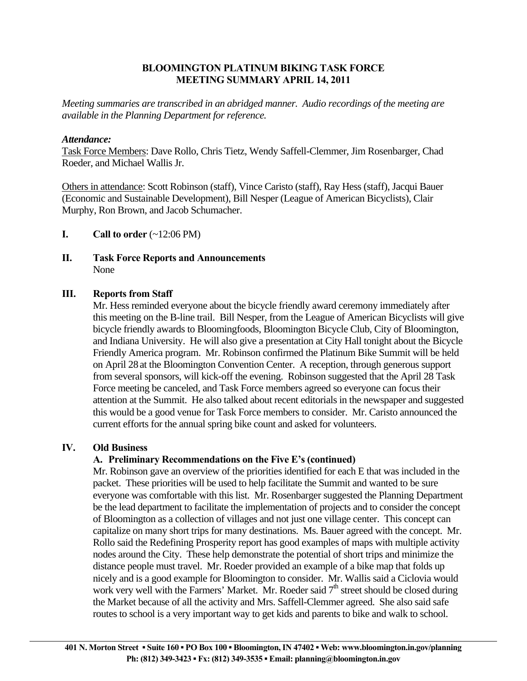## **BLOOMINGTON PLATINUM BIKING TASK FORCE MEETING SUMMARY APRIL 14, 2011**

*Meeting summaries are transcribed in an abridged manner. Audio recordings of the meeting are available in the Planning Department for reference.* 

## *Attendance:*

Task Force Members: Dave Rollo, Chris Tietz, Wendy Saffell-Clemmer, Jim Rosenbarger, Chad Roeder, and Michael Wallis Jr.

Others in attendance: Scott Robinson (staff), Vince Caristo (staff), Ray Hess (staff), Jacqui Bauer (Economic and Sustainable Development), Bill Nesper (League of American Bicyclists), Clair Murphy, Ron Brown, and Jacob Schumacher.

- **I.** Call to order  $(\sim 12:06 \text{ PM})$
- **II. Task Force Reports and Announcements**  None

## **III. Reports from Staff**

 Mr. Hess reminded everyone about the bicycle friendly award ceremony immediately after this meeting on the B-line trail. Bill Nesper, from the League of American Bicyclists will give bicycle friendly awards to Bloomingfoods, Bloomington Bicycle Club, City of Bloomington, and Indiana University. He will also give a presentation at City Hall tonight about the Bicycle Friendly America program. Mr. Robinson confirmed the Platinum Bike Summit will be held on April 28at the Bloomington Convention Center. A reception, through generous support from several sponsors, will kick-off the evening. Robinson suggested that the April 28 Task Force meeting be canceled, and Task Force members agreed so everyone can focus their attention at the Summit. He also talked about recent editorials in the newspaper and suggested this would be a good venue for Task Force members to consider. Mr. Caristo announced the current efforts for the annual spring bike count and asked for volunteers.

# **IV. Old Business**

# **A. Preliminary Recommendations on the Five E's (continued)**

 Mr. Robinson gave an overview of the priorities identified for each E that was included in the packet. These priorities will be used to help facilitate the Summit and wanted to be sure everyone was comfortable with this list. Mr. Rosenbarger suggested the Planning Department be the lead department to facilitate the implementation of projects and to consider the concept of Bloomington as a collection of villages and not just one village center. This concept can capitalize on many short trips for many destinations. Ms. Bauer agreed with the concept. Mr. Rollo said the Redefining Prosperity report has good examples of maps with multiple activity nodes around the City. These help demonstrate the potential of short trips and minimize the distance people must travel. Mr. Roeder provided an example of a bike map that folds up nicely and is a good example for Bloomington to consider. Mr. Wallis said a Ciclovia would work very well with the Farmers' Market. Mr. Roeder said  $7<sup>th</sup>$  street should be closed during the Market because of all the activity and Mrs. Saffell-Clemmer agreed. She also said safe routes to school is a very important way to get kids and parents to bike and walk to school.